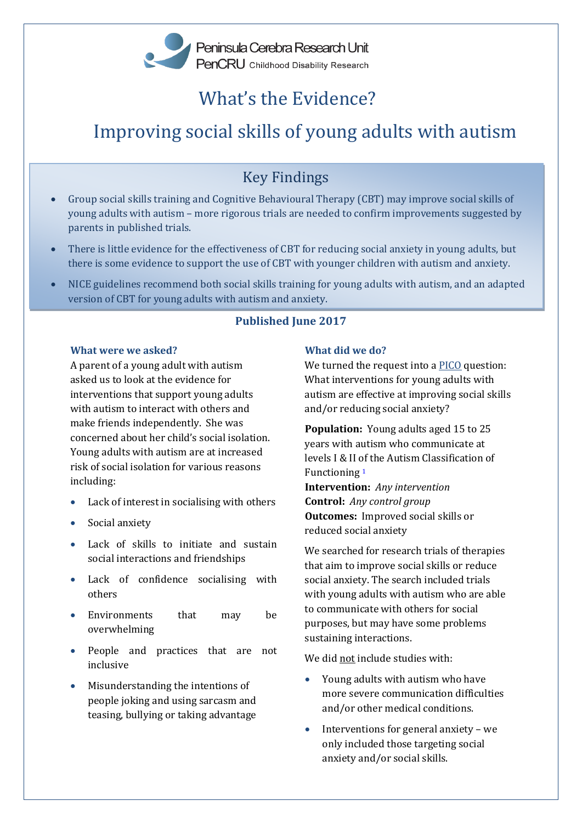# What's the Evidence?

# Improving social skills of young adults with autism

# Key Findings

- Group social skills training and Cognitive Behavioural Therapy (CBT) may improve social skills of young adults with autism – more rigorous trials are needed to confirm improvements suggested by parents in published trials.
- There is little evidence for the effectiveness of CBT for reducing social anxiety in young adults, but there is some evidence to support the use of CBT with younger children with autism and anxiety.
- NICE guidelines recommend both social skills training for young adults with autism, and an adapted version of CBT for young adults with autism and anxiety.

# **Published June 2017**

### **What were we asked?**

A parent of a young adult with autism asked us to look at the evidence for interventions that support young adults with autism to interact with others and make friends independently. She was concerned about her child's social isolation. Young adults with autism are at increased risk of social isolation for various reasons including:

- Lack of interest in socialising with others
- Social anxiety
- Lack of skills to initiate and sustain social interactions and friendships
- Lack of confidence socialising with others
- Environments that may be overwhelming
- People and practices that are not inclusive
- Misunderstanding the intentions of people joking and using sarcasm and teasing, bullying or taking advantage

# **What did we do?**

We turned the request into a [PICO](http://www.pencru.org/research/researchterms/#PICO) question: What interventions for young adults with autism are effective at improving social skills and/or reducing social anxiety?

**Population:** Young adults aged 15 to 25 years with autism who communicate at levels I & II of the Autism Classification of Functioning [1](#page-4-0)

**Intervention:** *Any intervention* **Control:** *Any control group* **Outcomes:** Improved social skills or reduced social anxiety

We searched for research trials of therapies that aim to improve social skills or reduce social anxiety. The search included trials with young adults with autism who are able to communicate with others for social purposes, but may have some problems sustaining interactions.

We did not include studies with:

- Young adults with autism who have more severe communication difficulties and/or other medical conditions.
- Interventions for general anxiety we only included those targeting social anxiety and/or social skills.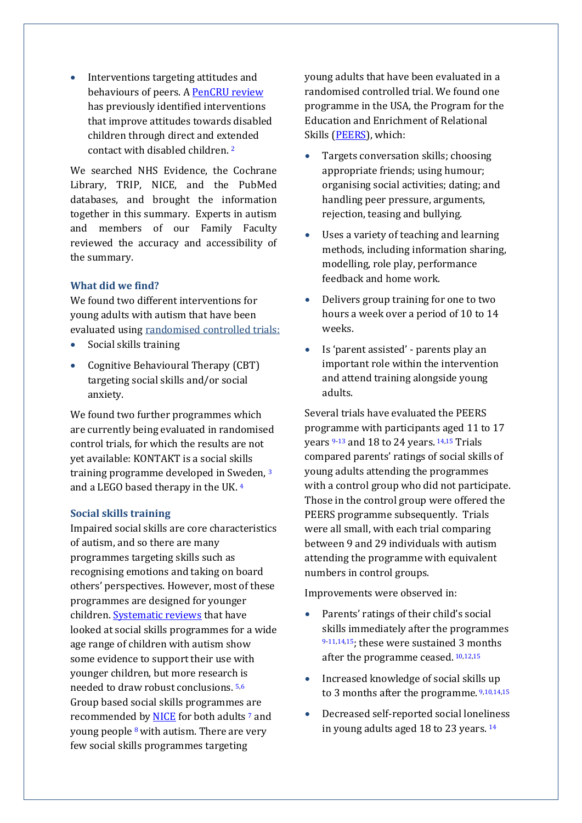• Interventions targeting attitudes and behaviours of peers. [A PenCRU review](http://www.pencru.org/projectsmeetings/researchprojects/childrensattitudes/) has previously identified interventions that improve attitudes towards disabled children through direct and extended contact with disabled children[.](#page-4-1)  2

We searched NHS Evidence, the Cochrane Library, TRIP, NICE, and the PubMed databases, and brought the information together in this summary. Experts in autism and members of our Family Faculty reviewed the accuracy and accessibility of the summary.

#### **What did we find?**

We found two different interventions for young adults with autism that have been evaluated using [randomised controlled trials:](http://www.pencru.org/research/researchterms/#rendomisedcontrolledtrial)

- Social skills training
- Cognitive Behavioural Therapy (CBT) targeting social skills and/or social anxiety.

We found two further programmes which are currently being evaluated in randomised control trials, for which the results are not yet available: KONTAKT is a social skills training programme developed in Sweden, [3](#page-4-2) and a LEGO based therapy in the UK[.](#page-4-3)  4

#### **Social skills training**

Impaired social skills are core characteristics of autism, and so there are many programmes targeting skills such as recognising emotions and taking on board others' perspectives. However, most of these programmes are designed for younger children. [Systematic reviews](http://www.pencru.org/research/researchterms/#systematicreview) that have looked at social skills programmes for a wide age range of children with autism show some evidence to support their use with younger children, but more research is needed to draw robust conclusions. [5,](#page-4-4)[6](#page-4-5) Group based social skills programmes are recommended b[y NICE](https://www.nice.org.uk/about) for both adults [7](#page-4-6) and young people [8](#page-4-7)with autism. There are very few social skills programmes targeting

young adults that have been evaluated in a randomised controlled trial. We found one programme in the USA, the Program for the Education and Enrichment of Relational Skills [\(PEERS\)](https://www.semel.ucla.edu/peers), which:

- Targets conversation skills; choosing appropriate friends; using humour; organising social activities; dating; and handling peer pressure, arguments, rejection, teasing and bullying.
- Uses a variety of teaching and learning methods, including information sharing, modelling, role play, performance feedback and home work.
- Delivers group training for one to two hours a week over a period of 10 to 14 weeks.
- Is 'parent assisted' parents play an important role within the intervention and attend training alongside young adults.

Several trials have evaluated the PEERS programme with participants aged 11 to 17 years <sup>[9](#page-4-8)[-13](#page-5-0)</sup> and 18 to 24 years. <sup>[14,](#page-5-1)[15](#page-5-2)</sup> Trials compared parents' ratings of social skills of young adults attending the programmes with a control group who did not participate. Those in the control group were offered the PEERS programme subsequently. Trials were all small, with each trial comparing between 9 and 29 individuals with autism attending the programme with equivalent numbers in control groups.

Improvements were observed in:

- Parents' ratings of their child's social skills immediately after the programmes [9-](#page-4-8)[11,](#page-5-3)[14,](#page-5-1)[15](#page-5-2); these were sustained 3 months after the programme ceased. [10,](#page-4-9)[12,](#page-5-4)[15](#page-5-2)
- Increased knowledge of social skills up to 3 months after the programme. [9,](#page-4-8)[10,14,](#page-4-9)[15](#page-5-2)
- Decreased self-reported social loneliness in young adults aged 18 to 23 years.<sup>[14](#page-5-1)</sup>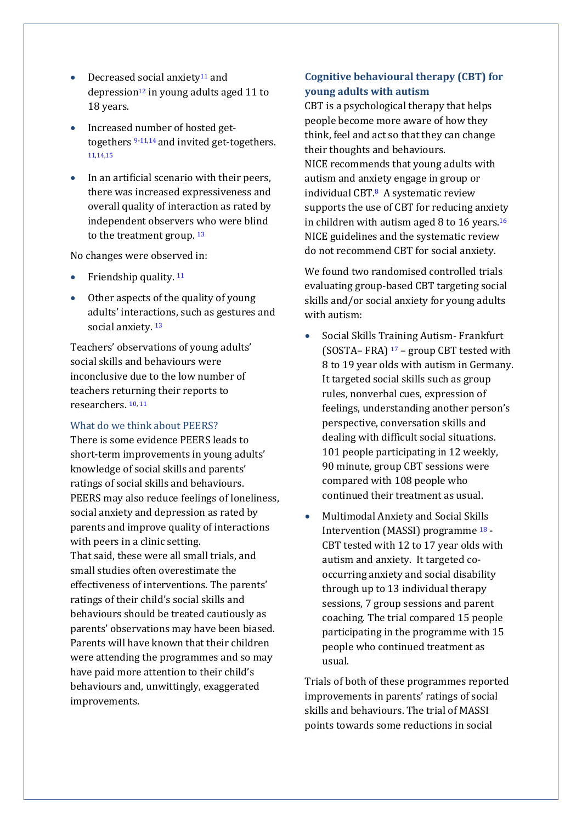- $\bullet$  Decreased social anxiety<sup>[11](#page-5-3)</sup> and depression<sup>[12](#page-5-4)</sup> in young adults aged 11 to 18 years.
- Increased number of hosted gettogethers [9](#page-4-8)[-11,](#page-5-3)[14](#page-5-1) and invited get-togethers. [11,](#page-5-3)[14,](#page-5-1)[15](#page-5-2)
- In an artificial scenario with their peers, there was increased expressiveness and overall quality of interaction as rated by independent observers who were blind to the treatment group. [13](#page-5-0)

No changes were observed in:

- Friendship quality.  $11$
- Other aspects of the quality of young adults' interactions, such as gestures and social anxiety.<sup>[13](#page-5-0)</sup>

Teachers' observations of young adults' social skills and behaviours were inconclusive due to the low number of teachers returning their reports to researchers. [10,](#page-4-9) [11](#page-5-3)

#### What do we think about PEERS?

There is some evidence PEERS leads to short-term improvements in young adults' knowledge of social skills and parents' ratings of social skills and behaviours. PEERS may also reduce feelings of loneliness, social anxiety and depression as rated by parents and improve quality of interactions with peers in a clinic setting. That said, these were all small trials, and small studies often overestimate the effectiveness of interventions. The parents' ratings of their child's social skills and behaviours should be treated cautiously as parents' observations may have been biased. Parents will have known that their children were attending the programmes and so may have paid more attention to their child's behaviours and, unwittingly, exaggerated improvements.

# **Cognitive behavioural therapy (CBT) for young adults with autism**

CBT is a psychological therapy that helps people become more aware of how they think, feel and act so that they can change their thoughts and behaviours. NICE recommends that young adults with autism and anxiety engage in group or individual CB[T.](#page-4-7)8 A systematic review supports the use of CBT for reducing anxiety in children with autism aged 8 to [16](#page-5-5) years.<sup>16</sup> NICE guidelines and the systematic review do not recommend CBT for social anxiety.

We found two randomised controlled trials evaluating group-based CBT targeting social skills and/or social anxiety for young adults with autism:

- Social Skills Training Autism- Frankfurt (SOSTA– FRA) [17](#page-5-6) – group CBT tested with 8 to 19 year olds with autism in Germany. It targeted social skills such as group rules, nonverbal cues, expression of feelings, understanding another person's perspective, conversation skills and dealing with difficult social situations. 101 people participating in 12 weekly, 90 minute, group CBT sessions were compared with 108 people who continued their treatment as usual.
- Multimodal Anxiety and Social Skills Intervention (MASSI) programme [18](#page-5-7) - CBT tested with 12 to 17 year olds with autism and anxiety. It targeted cooccurring anxiety and social disability through up to 13 individual therapy sessions, 7 group sessions and parent coaching. The trial compared 15 people participating in the programme with 15 people who continued treatment as usual.

Trials of both of these programmes reported improvements in parents' ratings of social skills and behaviours. The trial of MASSI points towards some reductions in social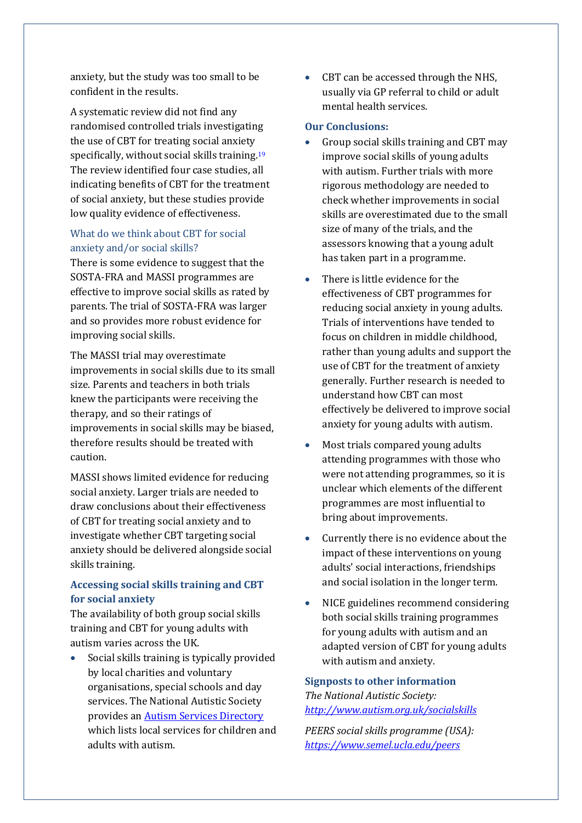anxiety, but the study was too small to be confident in the results.

A systematic review did not find any randomised controlled trials investigating the use of CBT for treating social anxiety specifically, without social skills training.<sup>[19](#page-5-8)</sup> The review identified four case studies, all indicating benefits of CBT for the treatment of social anxiety, but these studies provide low quality evidence of effectiveness.

# What do we think about CBT for social anxiety and/or social skills?

There is some evidence to suggest that the SOSTA-FRA and MASSI programmes are effective to improve social skills as rated by parents. The trial of SOSTA-FRA was larger and so provides more robust evidence for improving social skills.

The MASSI trial may overestimate improvements in social skills due to its small size. Parents and teachers in both trials knew the participants were receiving the therapy, and so their ratings of improvements in social skills may be biased, therefore results should be treated with caution.

MASSI shows limited evidence for reducing social anxiety. Larger trials are needed to draw conclusions about their effectiveness of CBT for treating social anxiety and to investigate whether CBT targeting social anxiety should be delivered alongside social skills training.

# **Accessing social skills training and CBT for social anxiety**

The availability of both group social skills training and CBT for young adults with autism varies across the UK.

 Social skills training is typically provided by local charities and voluntary organisations, special schools and day services. The National Autistic Society provides a[n Autism Services](http://www.autism.org.uk/directory.aspx) Directory which lists local services for children and adults with autism.

• CBT can be accessed through the NHS, usually via GP referral to child or adult mental health services.

### **Our Conclusions:**

- Group social skills training and CBT may improve social skills of young adults with autism. Further trials with more rigorous methodology are needed to check whether improvements in social skills are overestimated due to the small size of many of the trials, and the assessors knowing that a young adult has taken part in a programme.
- There is little evidence for the effectiveness of CBT programmes for reducing social anxiety in young adults. Trials of interventions have tended to focus on children in middle childhood, rather than young adults and support the use of CBT for the treatment of anxiety generally. Further research is needed to understand how CBT can most effectively be delivered to improve social anxiety for young adults with autism.
- Most trials compared young adults attending programmes with those who were not attending programmes, so it is unclear which elements of the different programmes are most influential to bring about improvements.
- Currently there is no evidence about the impact of these interventions on young adults' social interactions, friendships and social isolation in the longer term.
- NICE guidelines recommend considering both social skills training programmes for young adults with autism and an adapted version of CBT for young adults with autism and anxiety.

**Signposts to other information** *The National Autistic Society: <http://www.autism.org.uk/socialskills>*

*PEERS social skills programme (USA): <https://www.semel.ucla.edu/peers>*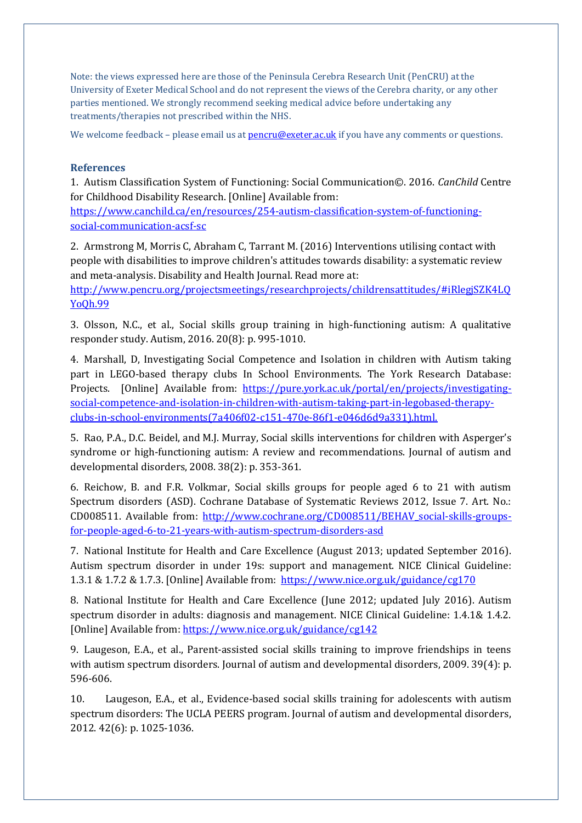Note: the views expressed here are those of the Peninsula Cerebra Research Unit (PenCRU) at the University of Exeter Medical School and do not represent the views of the Cerebra charity, or any other parties mentioned. We strongly recommend seeking medical advice before undertaking any treatments/therapies not prescribed within the NHS.

We welcome feedback – please email us at **pencru@exeter.ac.uk** if you have any comments or questions.

#### **References**

<span id="page-4-0"></span>1. Autism Classification System of Functioning: Social Communication©. 2016. *CanChild* Centre for Childhood Disability Research. [Online] Available from:

[https://www.canchild.ca/en/resources/254-autism-classification-system-of-functioning](https://www.canchild.ca/en/resources/254-autism-classification-system-of-functioning-social-communication-acsf-sc)[social-communication-acsf-sc](https://www.canchild.ca/en/resources/254-autism-classification-system-of-functioning-social-communication-acsf-sc)

<span id="page-4-1"></span>2. Armstrong M, Morris C, Abraham C, Tarrant M. (2016) Interventions utilising contact with people with disabilities to improve children's attitudes towards disability: a systematic review and meta-analysis. Disability and Health Journal. Read more at:

[http://www.pencru.org/projectsmeetings/researchprojects/childrensattitudes/#iRlegjSZK4LQ](http://www.pencru.org/projectsmeetings/researchprojects/childrensattitudes/#iRlegjSZK4LQYoQh.99) [YoQh.99](http://www.pencru.org/projectsmeetings/researchprojects/childrensattitudes/#iRlegjSZK4LQYoQh.99)

<span id="page-4-2"></span>3. Olsson, N.C., et al., Social skills group training in high-functioning autism: A qualitative responder study. Autism, 2016. 20(8): p. 995-1010.

<span id="page-4-3"></span>4. Marshall, D, Investigating Social Competence and Isolation in children with Autism taking part in LEGO-based therapy clubs In School Environments. The York Research Database: Projects. [Online] Available from: [https://pure.york.ac.uk/portal/en/projects/investigating](https://pure.york.ac.uk/portal/en/projects/investigating-social-competence-and-isolation-in-children-with-autism-taking-part-in-legobased-therapy-clubs-in-school-environments(7a406f02-c151-470e-86f1-e046d6d9a331).html.)[social-competence-and-isolation-in-children-with-autism-taking-part-in-legobased-therapy](https://pure.york.ac.uk/portal/en/projects/investigating-social-competence-and-isolation-in-children-with-autism-taking-part-in-legobased-therapy-clubs-in-school-environments(7a406f02-c151-470e-86f1-e046d6d9a331).html.)[clubs-in-school-environments\(7a406f02-c151-470e-86f1-e046d6d9a331\).html.](https://pure.york.ac.uk/portal/en/projects/investigating-social-competence-and-isolation-in-children-with-autism-taking-part-in-legobased-therapy-clubs-in-school-environments(7a406f02-c151-470e-86f1-e046d6d9a331).html.)

<span id="page-4-4"></span>5. Rao, P.A., D.C. Beidel, and M.J. Murray, Social skills interventions for children with Asperger's syndrome or high-functioning autism: A review and recommendations. Journal of autism and developmental disorders, 2008. 38(2): p. 353-361.

<span id="page-4-5"></span>6. Reichow, B. and F.R. Volkmar, Social skills groups for people aged 6 to 21 with autism Spectrum disorders (ASD). Cochrane Database of Systematic Reviews 2012, Issue 7. Art. No.: CD008511. Available from: [http://www.cochrane.org/CD008511/BEHAV\\_social-skills-groups](http://www.cochrane.org/CD008511/BEHAV_social-skills-groups-for-people-aged-6-to-21-years-with-autism-spectrum-disorders-asd)[for-people-aged-6-to-21-years-with-autism-spectrum-disorders-asd](http://www.cochrane.org/CD008511/BEHAV_social-skills-groups-for-people-aged-6-to-21-years-with-autism-spectrum-disorders-asd)

<span id="page-4-6"></span>7. National Institute for Health and Care Excellence (August 2013; updated September 2016). Autism spectrum disorder in under 19s: support and management. NICE Clinical Guideline: 1.3.1 & 1.7.2 & 1.7.3. [Online] Available from:<https://www.nice.org.uk/guidance/cg170>

<span id="page-4-7"></span>8. National Institute for Health and Care Excellence (June 2012; updated July 2016). Autism spectrum disorder in adults: diagnosis and management. NICE Clinical Guideline: 1.4.1& 1.4.2. [Online] Available from:<https://www.nice.org.uk/guidance/cg142>

<span id="page-4-8"></span>9. Laugeson, E.A., et al., Parent-assisted social skills training to improve friendships in teens with autism spectrum disorders. Journal of autism and developmental disorders, 2009. 39(4): p. 596-606.

<span id="page-4-9"></span>10. Laugeson, E.A., et al., Evidence-based social skills training for adolescents with autism spectrum disorders: The UCLA PEERS program. Journal of autism and developmental disorders, 2012. 42(6): p. 1025-1036.